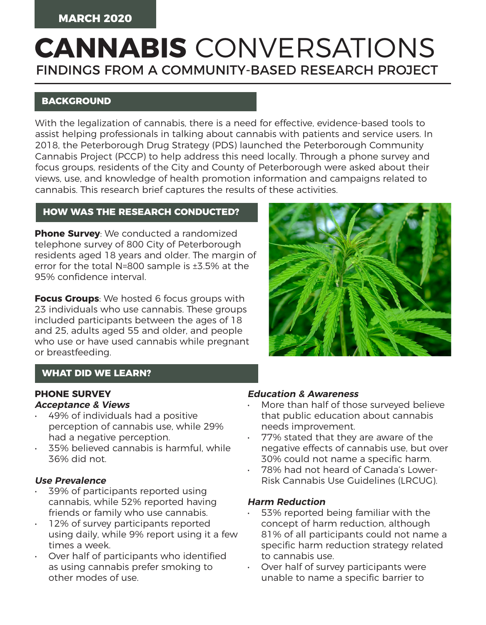# FINDINGS FROM A COMMUNITY-BASED RESEARCH PROJECT **CANNABIS** CONVERSATIONS

# **BACKGROUND**

With the legalization of cannabis, there is a need for effective, evidence-based tools to assist helping professionals in talking about cannabis with patients and service users. In 2018, the Peterborough Drug Strategy (PDS) launched the Peterborough Community Cannabis Project (PCCP) to help address this need locally. Through a phone survey and focus groups, residents of the City and County of Peterborough were asked about their views, use, and knowledge of health promotion information and campaigns related to cannabis. This research brief captures the results of these activities.

# **HOW WAS THE RESEARCH CONDUCTED?**

**Phone Survey**: We conducted a randomized telephone survey of 800 City of Peterborough residents aged 18 years and older. The margin of error for the total N=800 sample is ±3.5% at the 95% confidence interval.

**Focus Groups**: We hosted 6 focus groups with 23 individuals who use cannabis. These groups included participants between the ages of 18 and 25, adults aged 55 and older, and people who use or have used cannabis while pregnant or breastfeeding.



## **WHAT DID WE LEARN?**

# **PHONE SURVEY**

#### **Acceptance & Views**

- 49% of individuals had a positive perception of cannabis use, while 29% had a negative perception.
- 35% believed cannabis is harmful, while 36% did not.

#### **Use Prevalence**

- 39% of participants reported using cannabis, while 52% reported having friends or family who use cannabis.
- 12% of survey participants reported using daily, while 9% report using it a few times a week.
- Over half of participants who identified as using cannabis prefer smoking to other modes of use.

#### **Education & Awareness**

- More than half of those surveyed believe that public education about cannabis needs improvement.
- 77% stated that they are aware of the negative effects of cannabis use, but over 30% could not name a specific harm.
- 78% had not heard of Canada's Lower-Risk Cannabis Use Guidelines (LRCUG).

#### **Harm Reduction**

- 53% reported being familiar with the concept of harm reduction, although 81% of all participants could not name a specific harm reduction strategy related to cannabis use.
- Over half of survey participants were unable to name a specific barrier to